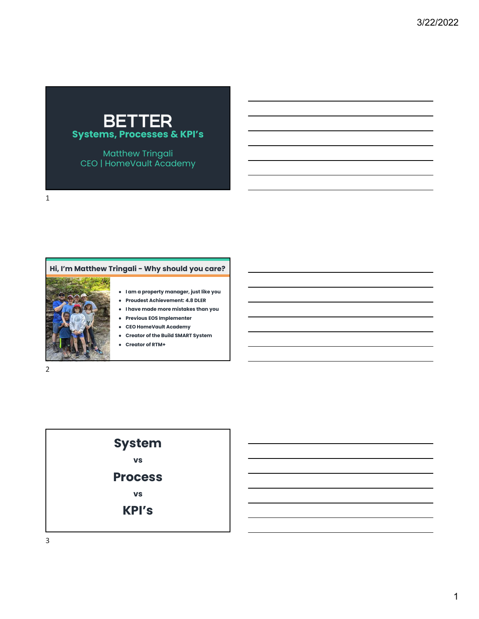

Matthew Tringali CEO | HomeVault Academy



2

1

| <b>System</b>  |  |
|----------------|--|
| <b>VS</b>      |  |
| <b>Process</b> |  |
| <b>VS</b>      |  |
| <b>KPI's</b>   |  |
|                |  |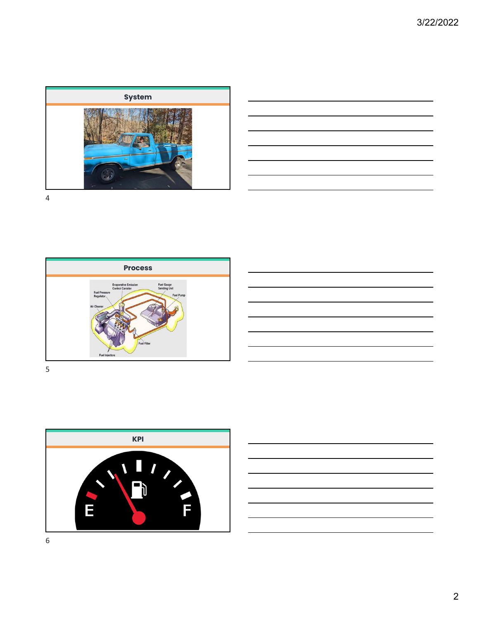







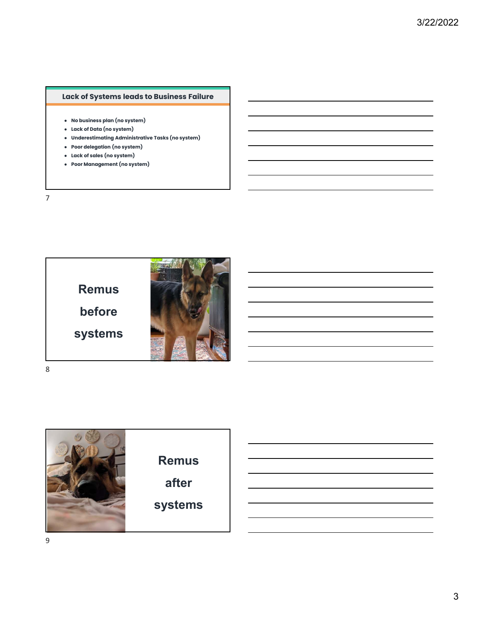## **Lack of Systems leads to Business Failure**

- **No business plan (no system)**
- **Lack of Data (no system)**
- **Underestimating Administrative Tasks (no system)**
- **Poor delegation (no system)**
- **Lack of sales (no system)**
- **Poor Management (no system)**



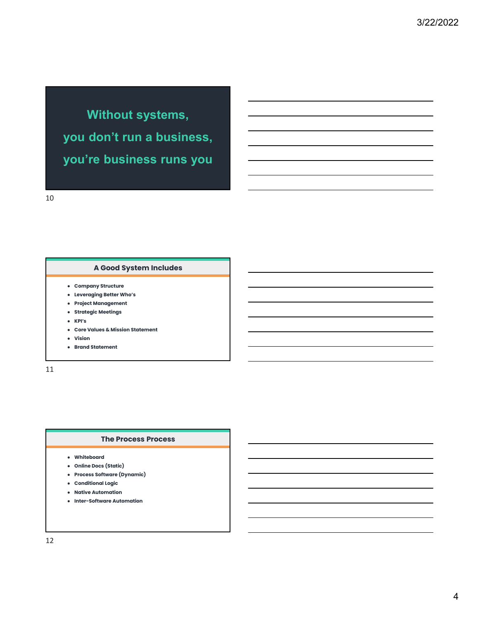**Without systems, you don't run a business, you're business runs you**

10

## **A Good System Includes**

- **Company Structure**
- **Leveraging Better Who's**
- **Project Management**
- **Strategic Meetings**
- **KPI's**
- **Core Values & Mission Statement**
- **Vision**
- **Brand Statement**

11

### **The Process Process**

- **Whiteboard**
- **Online Docs (Static)**
- **Process Software (Dynamic)**
- **Conditional Logic**
- **Native Automation**
- **Inter-Software Automation**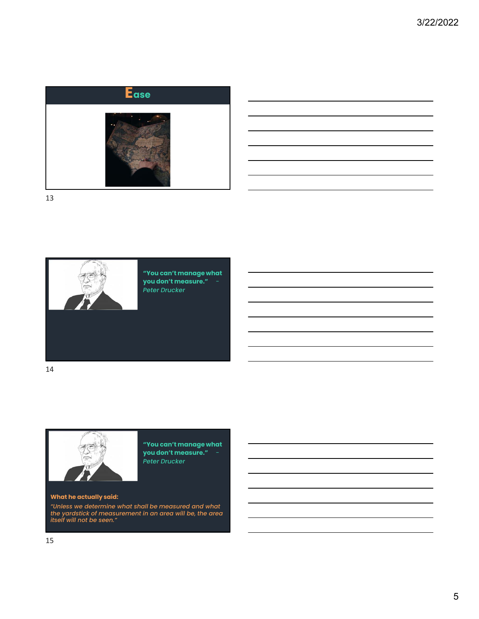





**"You can't manage what you don't measure."** - *Peter Drucker*

14



**"You can't manage what you don't measure."** - *Peter Drucker*

#### **What he actually said:**

*"Unless we determine what shall be measured and what the yardstick of measurement in an area will be, the area itself will not be seen."*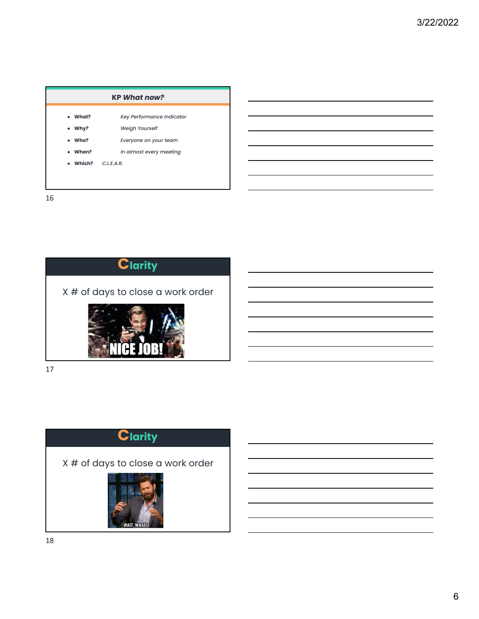|    |                                  | <b>KP What now?</b>                            |
|----|----------------------------------|------------------------------------------------|
|    | • What?                          | Key Performance Indicator                      |
|    | $\bullet$ Why?<br>$\bullet$ Who? | <b>Weigh Yourself</b><br>Everyone on your team |
|    | • When?                          | In almost every meeting                        |
|    | • Which?                         | C.L.E.A.R.                                     |
|    |                                  |                                                |
| 16 |                                  |                                                |





X # of days to close a work order

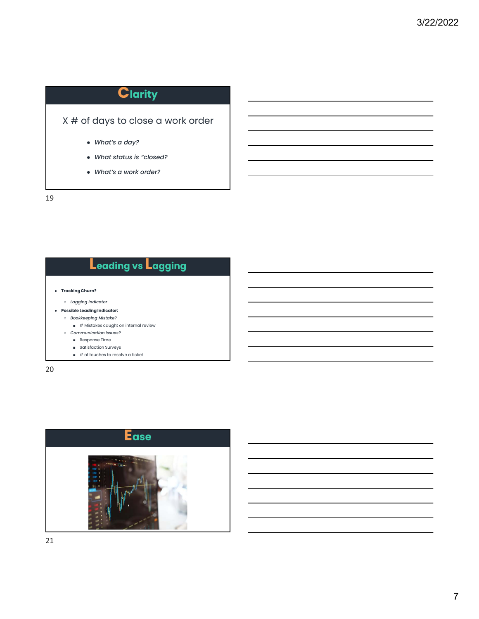# **Clarity**

## X # of days to close a work order

- *What's a day?*
- *What status is "closed?*
- *What's a work order?*

19

| <b>Leading vs Lagging</b>              |  |  |  |
|----------------------------------------|--|--|--|
| <b>Tracking Churn?</b>                 |  |  |  |
| Lagging Indicator<br>$\circ$           |  |  |  |
| <b>Possible Leading Indicator:</b>     |  |  |  |
| <b>Bookkeeping Mistake?</b><br>$\circ$ |  |  |  |
| # Mistakes caught on internal review   |  |  |  |
| Communication Issues?<br>$\circ$       |  |  |  |
| Response Time                          |  |  |  |
| <b>Satisfaction Surveys</b>            |  |  |  |
| # of touches to resolve a ticket       |  |  |  |

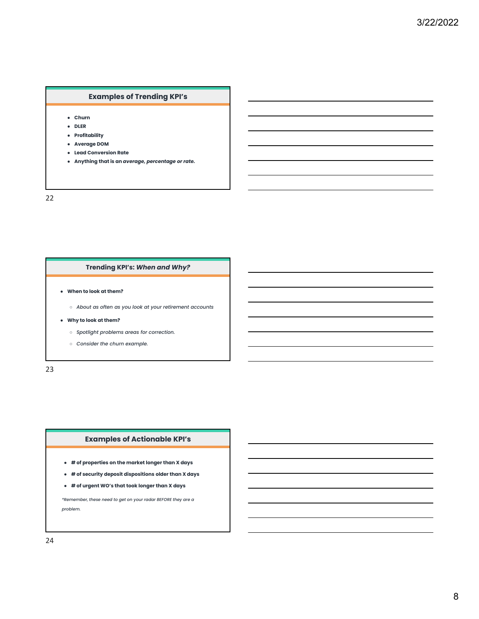## **Examples of Trending KPI's**

● **Churn**

- **DLER**
- **Profitability**
- **Average DOM**
- **Lead Conversion Rate**
- **Anything that is an** *average, percentage or rate.*

22

#### **Trending KPI's:** *When and Why?*

- **When to look at them?**
	- *About as often as you look at your retirement accounts*
- **Why to look at them?**
	- *Spotlight problems areas for correction.*
	- *Consider the churn example.*

23

### **Examples of Actionable KPI's**

- **# of properties on the market longer than X days**
- **# of security deposit dispositions older than X days**
- **# of urgent WO's that took longer than X days**

*\*Remember, these need to get on your radar BEFORE they are a problem.*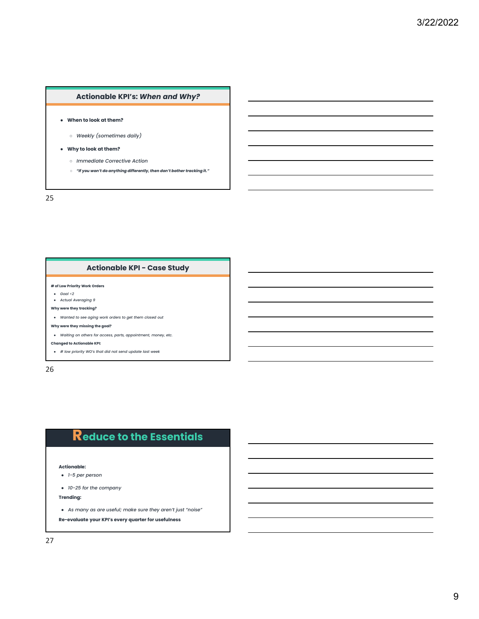## **Actionable KPI's:** *When and Why?*

#### ● **When to look at them?**

○ *Weekly (sometimes daily)*

#### ● **Why to look at them?**

- *Immediate Corrective Action*
- *"If you won't do anything differently, then don't bother tracking it."*

25

## **Actionable KPI - Case Study**

#### **# of Low Priority Work Orders**

- *Goal <2* ● *Actual Averaging 9*
- **Why were they tracking?**
- 
- *Wanted to see aging work orders to get them closed out*

#### **Why were they missing the goal?**

- *Waiting on others for access, parts, appointment, money, etc.*
- **Changed to Actionable KPI:**
- *# low priority WO's that did not send update last week*

26

## **Reduce to the Essentials**

#### **Actionable:**

- *1-5 per person*
- *10-25 for the company*

**Trending:**

- *As many as are useful; make sure they aren't just "noise"*
- **Re-evaluate your KPI's every quarter for usefulness**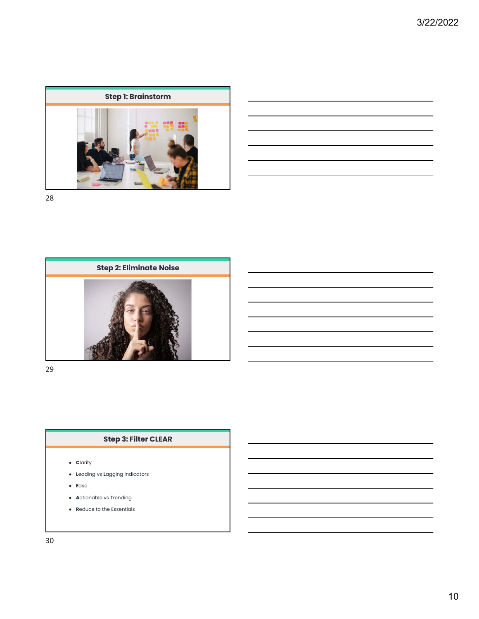



29

## **Step 3: Filter CLEAR**

- **C**larity
- **L**eading vs **L**agging Indicators
- **E**ase
- **A**ctionable vs Trending
- **R**educe to the Essentials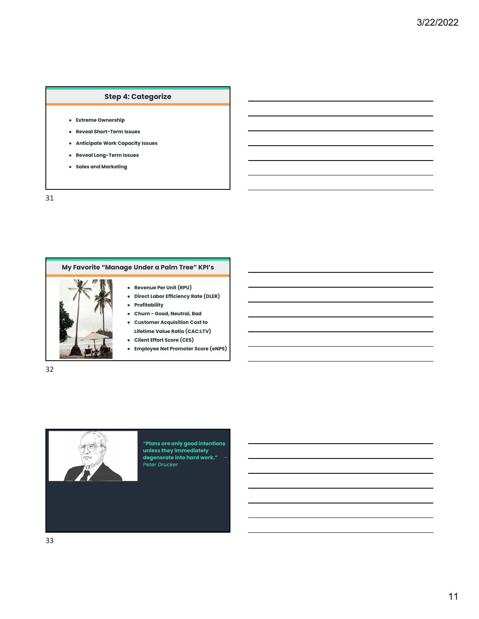## **Step 4: Categorize**

- **Extreme Ownership**
- **Reveal Short-Term Issues**
- **Anticipate Work Capacity Issues**
- **Reveal Long-Term Issues**
- **Sales and Marketing**